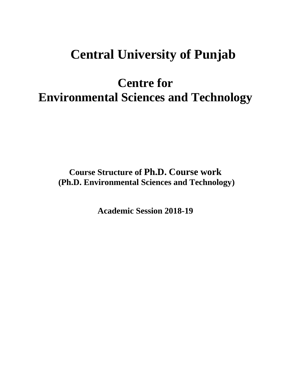# **Central University of Punjab**

# **Centre for Environmental Sciences and Technology**

**Course Structure of Ph.D. Course work (Ph.D. Environmental Sciences and Technology)**

**Academic Session 2018-19**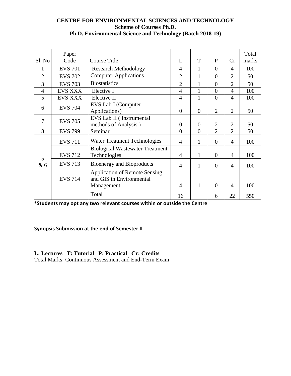| Sl. No         | Paper<br>Code  | <b>Course Title</b>                                                            | L              | T                | P              | Cr             | Total<br>marks |
|----------------|----------------|--------------------------------------------------------------------------------|----------------|------------------|----------------|----------------|----------------|
| 1              | <b>EVS 701</b> | <b>Research Methodology</b>                                                    | 4              | 1                | $\Omega$       | 4              | 100            |
| $\overline{2}$ | <b>EVS 702</b> | <b>Computer Applications</b>                                                   | $\overline{2}$ | $\mathbf{1}$     | $\Omega$       | $\overline{2}$ | 50             |
| 3              | <b>EVS 703</b> | <b>Biostatistics</b>                                                           | $\overline{2}$ | $\mathbf{1}$     | $\overline{0}$ | $\overline{2}$ | 50             |
| 4              | <b>EVS XXX</b> | Elective I                                                                     | $\overline{4}$ | 1                | $\theta$       | $\overline{4}$ | 100            |
| 5              | <b>EVS XXX</b> | Elective II                                                                    | $\overline{4}$ | 1                | $\overline{0}$ | $\overline{4}$ | 100            |
| 6              | <b>EVS 704</b> | EVS Lab I (Computer<br>Applications)                                           | $\overline{0}$ | $\overline{0}$   | $\overline{2}$ | $\overline{2}$ | 50             |
| 7              | <b>EVS 705</b> | EVS Lab II (Instrumental<br>methods of Analysis)                               | $\overline{0}$ | $\boldsymbol{0}$ | $\overline{2}$ | $\overline{2}$ | 50             |
| 8              | <b>EVS 799</b> | Seminar                                                                        | $\overline{0}$ | $\overline{0}$   | $\overline{2}$ | $\overline{2}$ | 50             |
|                | <b>EVS 711</b> | <b>Water Treatment Technologies</b>                                            | 4              | $\mathbf{1}$     | $\overline{0}$ | 4              | 100            |
| 5              | <b>EVS 712</b> | <b>Biological Wastewater Treatment</b><br>Technologies                         | 4              | $\mathbf{1}$     | $\overline{0}$ | $\overline{4}$ | 100            |
| & 6            | <b>EVS 713</b> | <b>Bioenergy and Bioproducts</b>                                               | 4              | $\mathbf{1}$     | $\Omega$       | 4              | 100            |
|                | <b>EVS 714</b> | <b>Application of Remote Sensing</b><br>and GIS in Environmental<br>Management | 4              | $\mathbf{1}$     | $\Omega$       | $\overline{4}$ | 100            |
|                |                | Total                                                                          | 16             |                  | 6              | 22             | 550            |

**\*Students may opt any two relevant courses within or outside the Centre**

**Synopsis Submission at the end of Semester II** 

**L: Lectures T: Tutorial P: Practical Cr: Credits**

Total Marks: Continuous Assessment and End-Term Exam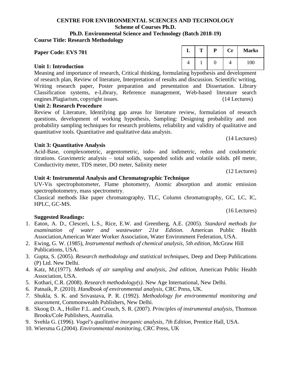#### **CENTRE FOR ENVIRONMENTAL SCIENCES AND TECHNOLOGY**

**Scheme of Courses Ph.D.**

#### **Ph.D. Environmental Science and Technology (Batch 2018-19) Course Title: Research Methodology**

**Paper Code: EVS 701**

# **Unit 1: Introduction**

Meaning and importance of research, Critical thinking, formulating hypothesis and development of research plan, Review of literature, Interpretation of results and discussion. Scientific writing, Writing research paper, Poster preparation and presentation and Dissertation. Library Classification systems, e-Library, Reference management, Web-based literature search engines.Plagiarism, copyright issues. (14 Lectures)

## **Unit 2: Research Procedure**

Review of Literature, Identifying gap areas for literature review, formulation of research questions, development of working hypothesis, Sampling: Designing probability and non probability sampling techniques for research problems, reliability and validity of qualitative and quantitative tools. Quantitative and qualitative data analysis. (14 Lectures)

# **Unit 3: Quantitative Analysis**

Acid-Base, complexometric, argentometric, iodo- and iodimetric, redox and coulometric titrations. Gravimetric analysis – total solids, suspended solids and volatile solids. pH meter, Conductivity meter, TDS meter, DO meter, Salinity meter

# **Unit 4: Instrumental Analysis and Chromatographic Technique**

UV-Vis spectrophotometer, Flame photometry, Atomic absorption and atomic emission spectrophotometry, mass spectrometry.

Classical methods like paper chromatography, TLC, Column chromatography, GC, LC, IC, HPLC, GC-MS.

# **Suggested Readings:**

- 1. Eaton, A. D., Clesceri, L.S., Rice, E.W. and Greenberg, A.E. (2005). *Standard methods for examination of water and wastewater 21st Edition.* American Public Health Association,American Water Worker Association, Water Environment Federation, USA.
- 2. Ewing, G. W. (1985), *Instrumental methods of chemical analysis, 5th edition,* McGraw Hill Publications, USA.
- 3. Gupta, S. (2005). *Research methodology and statistical techniques*, Deep and Deep Publications (P) Ltd. New Delhi.
- 4. Katz, M.(1977). *Methods of air sampling and analysis*, *2nd edition,* American Public Health Association, USA.
- 5. Kothari, C.R. (2008). *Research methodology(s)*. New Age International, New Delhi.
- 6. Patnaik, P. (2010). *Handbook of environmental analysis,* CRC Press, UK.
- *7.* Shukla, S. K. and Srivastava, P. R. (1992). *Methodology for environmental monitoring and assessment,* Commonwealth Publishers, New Delhi.
- 8. Skoog D. A., Holler F.L. and Crouch, S. R. (2007). *Principles of instrumental analysis,* Thomson Brooks/Cole Publishers, Australia.
- 9. Svehla G. (1996). *Vogel's qualitative inorganic analysis, 7th Edition,* Prentice Hall, USA.
- 10. Wiersma G.(2004). *Environmental monitoring,* CRC Press, UK

| ப | т | Þ | Cr | <b>Marks</b> |
|---|---|---|----|--------------|
|   |   |   |    | 100          |

(12 Lectures)

(16 Lectures)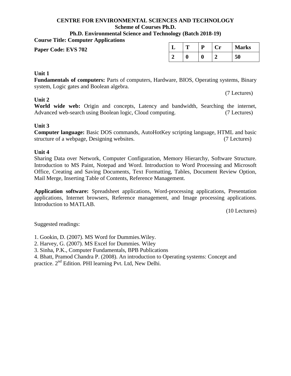**Ph.D. Environmental Science and Technology (Batch 2018-19)**

**Course Title: Computer Applications**

**Paper Code: EVS 702**

| ., | D | <b>Marks</b> |
|----|---|--------------|
|    |   | ЭU           |

# **Unit 1**

**Fundamentals of computers:** Parts of computers, Hardware, BIOS, Operating systems, Binary system, Logic gates and Boolean algebra.

### **Unit 2**

**World wide web:** Origin and concepts, Latency and bandwidth, Searching the internet, Advanced web-search using Boolean logic, Cloud computing. (7 Lectures)

# **Unit 3**

**Computer language:** Basic DOS commands, AutoHotKey scripting language, HTML and basic structure of a webpage, Designing websites. (7 Lectures)

#### **Unit 4**

Sharing Data over Network, Computer Configuration, Memory Hierarchy, Software Structure. Introduction to MS Paint, Notepad and Word. Introduction to Word Processing and Microsoft Office, Creating and Saving Documents, Text Formatting, Tables, Document Review Option, Mail Merge, Inserting Table of Contents, Reference Management.

**Application software:** Spreadsheet applications, Word-processing applications, Presentation applications, Internet browsers, Reference management, and Image processing applications. Introduction to MATLAB.

(10 Lectures)

(7 Lectures)

Suggested readings:

1. Gookin, D. (2007). MS Word for Dummies.Wiley.

2. Harvey, G. (2007). MS Excel for Dummies. Wiley

3. Sinha, P.K., Computer Fundamentals, BPB Publications

4. Bhatt, Pramod Chandra P. (2008). An introduction to Operating systems: Concept and

practice. 2nd Edition. PHI learning Pvt. Ltd, New Delhi.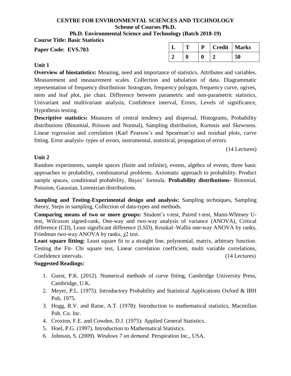**Ph.D. Environmental Science and Technology (Batch 2018-19)**

**Course Title: Basic Statistics** 

**Paper Code: EVS.703** 

|  | D | Credit   Marks |  |
|--|---|----------------|--|
|  |   |                |  |

# **Unit 1**

**Overview of biostatistics:** Meaning, need and importance of statistics. Attributes and variables. Measurement and measurement scales. Collection and tabulation of data. Diagrammatic representation of frequency distribution: histogram, frequency polygon, frequency curve, ogives, stem and leaf plot, pie chart. Difference between parametric and non-parametric statistics, Univariant and multivariant analysis, Confidence interval, Errors, Levels of significance, Hypothesis testing.

**Descriptive statistics:** Measures of central tendency and dispersal, Histograms, Probability distributions (Binomial, Poisson and Normal), Sampling distribution, Kurtosis and Skewness. Linear regression and correlation (Karl Pearson's and Spearman's) and residual plots, curve fitting. Error analysis- types of errors, instrumental, statistical, propagation of errors.

(14 Lectures)

# **Unit 2**

Random experiments, sample spaces (finite and infinite), events, algebra of events, three basic approaches to probability, combinatorial problems. Axiomatic approach to probability. Product sample spaces, conditional probability, Bayes' formula. **Probability distributions**- Binomial, Poission, Gaussian, Lorentzian distributions.

**Sampling and Testing-Experimental design and analysis:** Sampling techniques, Sampling theory, Steps in sampling, Collection of data-types and methods.

**Comparing means of two or more groups:** Student's t-test, Paired t-test, Mann-Whitney Utest, Wilcoxon signed-rank, One-way and two-way analysis of variance (ANOVA), Critical difference (CD), Least significant difference (LSD), Kruskal–Wallis one-way ANOVA by ranks, Friedman two-way ANOVA by ranks,  $\chi$ 2 test.

**Least square fitting:** Least square fit to a straight line, polynomial, matrix, arbitrary function. Testing the Fit- Chi square test, Linear correlation coefficient, multi variable correlations, Confidence intervals. (14 Lectures)

# **Suggested Readings:**

- 1. Guest, P.K. (2012). Numerical methods of curve fitting, Cambridge University Press, Cambridge, U.K.
- 2. Meyer, P.L. (1975). Introductory Probability and Statistical Applications Oxford & IBH Pub, 1975.
- 3. Hogg, R.V. and Raise, A.T. (1978): Introduction to mathematical statistics, Macmillan Pub. Co. Inc.
- 4. Croxton, F.E. and Cowden, D.J. (1975): Applied General Statistics.
- 5. Hoel, P.G. (1997). Introduction to Mathematical Statistics.
- 6. Johnson, S. (2009). *Windows 7 on demand*. Perspiration Inc., USA.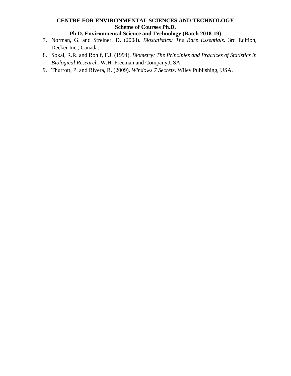# **Ph.D. Environmental Science and Technology (Batch 2018-19)**

- 7. Norman, G. and Streiner, D. (2008). *Biostatistics: The Bare Essentials*. 3rd Edition, Decker Inc., Canada.
- 8. Sokal, R.R. and Rohlf, F.J. (1994). *Biometry: The Principles and Practices of Statistics in Biological Research.* W.H. Freeman and Company,USA.
- 9. Thurrott, P. and Rivera, R. (2009). *Windows 7 Secrets*. Wiley Publishing, USA.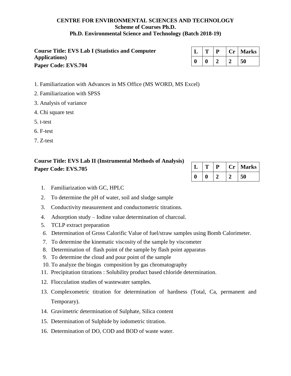**Course Title: EVS Lab I (Statistics and Computer Applications) Paper Code: EVS.704**

|  |  | <b>Marks</b> |
|--|--|--------------|
|  |  |              |

- 1. Familiarization with Advances in MS Office (MS WORD, MS Excel)
- 2. Familiarization with SPSS
- 3. Analysis of variance
- 4. Chi square test
- 5. t-test
- 6. F-test
- 7. Z-test

# **Course Title: EVS Lab II (Instrumental Methods of Analysis) Paper Code: EVS.705**

|  | w | Marks |
|--|---|-------|
|  |   |       |

- 1. Familiarization with GC, HPLC
- 2. To determine the pH of water, soil and sludge sample
- 3. Conductivity measurement and conductometric titrations.
- 4. Adsorption study Iodine value determination of charcoal.
- 5. TCLP extract preparation
- *6.* Determination of Gross Calorific Value of fuel/straw samples using Bomb Calorimeter.
- 7. To determine the kinematic viscosity of the sample by viscometer
- 8. Determination of flash point of the sample by flash point apparatus
- 9. To determine the cloud and pour point of the sample
- 10. To analyze the biogas composition by gas chromatography
- 11. Precipitation titrations : Solubility product based chloride determination.
- 12. Flocculation studies of wastewater samples.
- 13. Complexometric titration for determination of hardness (Total, Ca, permanent and Temporary).
- 14. Gravimetric determination of Sulphate, Silica content
- 15. Determination of Sulphide by iodometric titration.
- 16. Determination of DO, COD and BOD of waste water.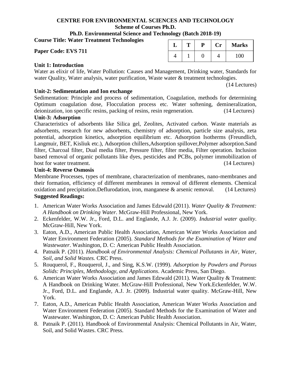# **Ph.D. Environmental Science and Technology (Batch 2018-19)**

**Course Title: Water Treatment Technologies**

**Paper Code: EVS 711**

# **Unit 1: Introduction**

Water as elixir of life, Water Pollution: Causes and Management, Drinking water, Standards for water Quality, Water analysis, water purification, Waste water & treatment technologies.

(14 Lectures)

 $L \mid T \mid P \mid Cr \mid$  Marks

4 1 1 0 4 1 100

# **Unit-2: Sedimentation and Ion exchange**

Sedimentation: Principle and process of sedimentation, Coagulation, methods for determining Optimum coagulation dose, Flocculation process etc. Water softening, demineralization, deionization, ion specific resins, packing of resins, resin regeneration. (14 Lectures)

# **Unit-3: Adsorption**

Characteristics of adsorbents like Silica gel, Zeolites, Activated carbon. Waste materials as adsorbents, research for new adsorbents, chemistry of adsorption, particle size analysis, zeta potential, adsorption kinetics, adsorption equilibrium etc. Adsorption Isotherms [\(Freundlich,](http://en.wikipedia.org/wiki/Adsorption#Freundlich) [Langmuir,](http://en.wikipedia.org/wiki/Adsorption#Langmuir) BET, Kisliuk etc.), Adsorption chillers,Adsorption spillover,Polymer adsorption.Sand filter, Charcoal filter, Dual media filter, Pressure filter, filter media, Filter operation. Inclusion based removal of organic pollutants like dyes, pesticides and PCBs, polymer immobilization of host for water treatment. (14 Lectures)

### **Unit-4: Reverse Osmosis**

Membrane Processes, types of membrane, characterization of membranes, nano-membranes and their formation, efficiency of different membranes in removal of different elements. Chemical oxidation and precipitation.Deflurodation, iron, manganese  $\&$  arsenic removal. (14 Lectures) **Suggested Readings:**

- 1. [American Water Works Association](http://books.mhprofessional.com/contributor.php?id=45431) and [James Edzwald](http://books.mhprofessional.com/contributor.php?id=47733) (2011). *Water Quality & Treatment: A Handbook on Drinking Water*. McGraw-Hill Professional, New York.
- 2. Eckenfelder, W.W. Jr., Ford, D.L. and Englande, A.J. Jr. (2009). *Industrial water quality*. McGraw-Hill, New York.
- 3. Eaton, A.D., American Public Health Association, American Water Works Association and Water Environment Federation (2005). *Standard Methods for the Examination of Water and Wastewater*. Washington, D. C: American Public Health Association.
- 4. Patnaik P. (2011). *Handbook of Environmental Analysis: Chemical Pollutants in Air, Water, Soil, and Solid Wastes.* CRC Press.
- 5. Rouquerol, F., Rouquerol, J., and Sing, K.S.W. (1999). *Adsorption by Powders and Porous Solids: Principles, Methodology, and Applications*. Academic Press, San Diego.
- 6. American Water Works Association and James Edzwald (2011). Water Quality & Treatment: A Handbook on Drinking Water. McGraw-Hill Professional, New York.Eckenfelder, W.W. Jr., Ford, D.L. and Englande, A.J. Jr. (2009). Industrial water quality. McGraw-Hill, New York.
- 7. Eaton, A.D., American Public Health Association, American Water Works Association and Water Environment Federation (2005). Standard Methods for the Examination of Water and Wastewater. Washington, D. C: American Public Health Association.
- 8. Patnaik P. (2011). Handbook of Environmental Analysis: Chemical Pollutants in Air, Water, Soil, and Solid Wastes. CRC Press.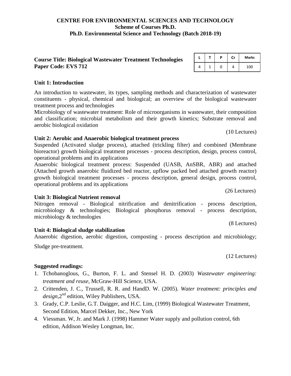# **Course Title: Biological Wastewater Treatment Technologies Paper Code: EVS 712**

|  | D | Cr | <b>Marks</b> |
|--|---|----|--------------|
|  |   |    | 100          |

# **Unit 1: Introduction**

An introduction to wastewater, its types, sampling methods and characterization of wastewater constituents - physical, chemical and biological; an overview of the biological wastewater treatment process and technologies

Microbiology of wastewater treatment: Role of microorganisms in wastewater, their composition and classification; microbial metabolism and their growth kinetics; Substrate removal and aerobic biological oxidation

# **Unit 2: Aerobic and Anaerobic biological treatment process**

Suspended (Activated sludge process), attached (trickling filter) and combined (Membrane bioreactor) growth biological treatment processes - process description, design, process control, operational problems and its applications

Anaerobic biological treatment process: Suspended (UASB, AnSBR, ABR) and attached (Attached growth anaerobic fluidized bed reactor, upflow packed bed attached growth reactor) growth biological treatment processes - process description, general design, process control, operational problems and its applications

# **Unit 3: Biological Nutrient removal**

# Nitrogen removal - Biological nitrification and denitrification - process description, microbiology & technologies; Biological phosphorus removal - process description, microbiology & technologies

# **Unit 4: Biological sludge stabilization**

Anaerobic digestion, aerobic digestion, composting - process description and microbiology;

Sludge pre-treatment.

(12 Lectures)

# **Suggested readings:**

- 1. Tchobanoglous, G., Burton, F. L. and Stensel H. D. (2003) *Wastewater engineering: treatment and reuse,* McGraw-Hill Science, USA.
- 2. Crittenden, J. C., Trussell, R. R. and HandD. W. (2005). *Water treatment: principles and design,*2 nd edition, Wiley Publishers, USA.
- 3. Grady, C.P. Leslie, G.T. Daigger, and H.C. Lim, (1999) Biological Wastewater Treatment, Second Edition, Marcel Dekker, Inc., New York
- 4. Viessman. W, Jr. and Mark J. (1998) Hammer Water supply and pollution control, 6th edition, Addison Wesley Longman, Inc.

(26 Lectures)

(8 Lectures)

(10 Lectures)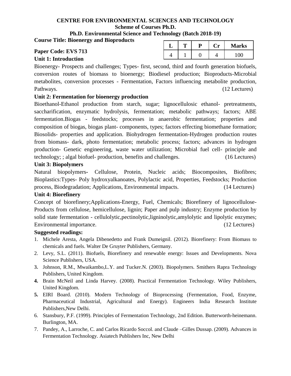#### **Ph.D. Environmental Science and Technology (Batch 2018-19) Course Title: Bioenergy and Bioproducts**

# **Paper Code: EVS 713**

## **Unit 1: Introduction**

| ⊥ | m | D | $\operatorname{Cr}$ | <b>Marks</b> |
|---|---|---|---------------------|--------------|
|   |   |   |                     | $\Omega$     |

Bioenergy- Prospects and challenges; Types- first, second, third and fourth generation biofuels, conversion routes of biomass to bioenergy; Biodiesel production; Bioproducts-Microbial metabolites, conversion processes - Fermentation, Factors influencing metabolite production, Pathways. (12 Lectures)

# **Unit 2: Fermentation for bioenergy production**

Bioethanol-Ethanol production from starch, sugar; lignocellulosic ethanol- pretreatments, saccharification, enzymatic hydrolysis, fermentation; metabolic pathways; factors; ABE fermentation.Biogas - feedstocks; processes in anaerobic fermentation; properties and composition of biogas, biogas plant- components, types; factors effecting biomethane formation; Biosolids- properties and application. Biohydrogen fermentation-Hydrogen production routes from biomass- dark, photo fermentation; metabolic process; factors; advances in hydrogen production- Genetic engineering, waste water utilization; Microbial fuel cell- principle and technology; ; algal biofuel- production, benefits and challenges. (16 Lectures)

# **Unit 3: Biopolymers**

Natural biopolymers**-** Cellulose, Protein, Nucleic acids; Biocomposites, Biofibres; Bioplastics:Types- Poly hydroxyalkanoates, Polylactic acid, Properties, Feedstocks; Production process, Biodegradation; Applications, Environmental impacts. (14 Lectures)

# **Unit 4: Biorefinery**

Concept of biorefinery;Applications-Energy, Fuel, Chemicals; Biorefinery of lignocellulose-Products from cellulose, hemicellulose, lignin; Paper and pulp industry; Enzyme production by solid state fermentation - cellulolytic,pectinolytic,ligninolytic,amylolytic and lipolytic enzymes; Environmental importance. (12 Lectures)

# **Suggested readings:**

- 1. Michele Aresta, Angela Dibenedetto and Frank Dumeignil. (2012). Biorefinery: From Biomass to chemicals and fuels. Walter De Gruyter Publishers, Germany.
- 2. Levy, S.L. (2011). Biofuels, Biorefinery and renewable energy: Issues and Developments. Nova Science Publishers, USA.
- **3.** Johnson, R.M., Mwaikambo,L.Y. and Tucker.N. (2003). Biopolymers. Smithers Rapra Technology Publishers, United Kingdom.
- **4.** Brain McNeil and Linda Harvey. (2008). Practical Fermentation Technology. Wiley Publishers, United Kingdom.
- **5.** EIRI Board. (2010). Modern Technology of Bioprocessing (Fermentation, Food, Enzyme, Pharmaceutical Industrial, Agricultural and Energy). Engineers India Research Institute Publishers,New Delhi.
- 6. Stansbury, P.F. (1999). Principles of Fermentation Technology, 2nd Edition. Butterworth-heinemann. Burlington, MA.
- 7. Pandey, A., Larroche, C. and Carlos Ricardo Soccol. and Claude –Gilles Dussap. (2009). Advances in Fermentation Technology. Asiatech Publishers Inc, New Delhi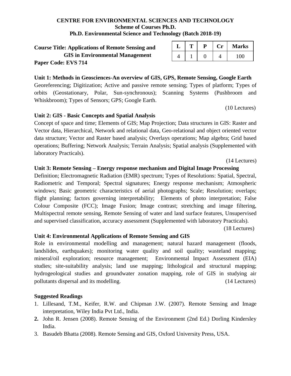**Course Title: Applications of Remote Sensing and GIS in Environmental Management Paper Code: EVS 714**

| ∸ | m | D | ۰. | <b>Marks</b> |
|---|---|---|----|--------------|
|   |   |   |    | ν            |

## **Unit 1: Methods in Geosciences-An overview of GIS, GPS, Remote Sensing, Google Earth**

Georeferencing; Digitization; Active and passive remote sensing; Types of platform; Types of orbits (Geostationary, Polar, Sun-synchronous); Scanning Systems (Pushbroom and Whiskbroom); Types of Sensors; GPS; Google Earth.

(10 Lectures)

# **Unit 2: GIS - Basic Concepts and Spatial Analysis**

Concept of space and time; Elements of GIS; Map Projection; Data structures in GIS: Raster and Vector data, Hierarchical, Network and relational data, Geo-relational and object oriented vector data structure; Vector and Raster based analysis; Overlays operations; Map algebra; Grid based operations; Buffering; Network Analysis; Terrain Analysis; Spatial analysis (Supplemented with laboratory Practicals).

(14 Lectures)

# **Unit 3: Remote Sensing – Energy response mechanism and Digital Image Processing**

Definition; Electromagnetic Radiation (EMR) spectrum; Types of Resolutions: Spatial, Spectral, Radiometric and Temporal; Spectral signatures; Energy response mechanism; Atmospheric windows; Basic geometric characteristics of aerial photographs; Scale; Resolution; overlaps; flight planning; factors governing interpretability; Elements of photo interpretation; False Colour Composite (FCC); Image Fusion; Image contrast; stretching and image filtering, Multispectral remote sensing, Remote Sensing of water and land surface features, Unsupervised and supervised classification, accuracy assessment (Supplemented with laboratory Practicals).

(18 Lectures)

# **Unit 4: Environmental Applications of Remote Sensing and GIS**

Role in environmental modelling and management; natural hazard management (floods, landslides, earthquakes); monitoring water quality and soil quality; wasteland mapping; mineral/oil exploration; resource management; Environmental Impact Assessment (EIA) studies; site-suitability analysis; land use mapping; lithological and structural mapping; hydrogeological studies and groundwater zonation mapping, role of GIS in studying air pollutants dispersal and its modelling. (14 Lectures)

#### **Suggested Readings**

- 1. Lillesand, T.M., Keifer, R.W. and Chipman J.W. (2007). Remote Sensing and Image interpretation, Wiley India Pvt Ltd., India.
- **2.** John R. Jensen (2008). Remote Sensing of the Environment (2nd Ed.) Dorling Kindersley India.
- 3. Basudeb Bhatta (2008). Remote Sensing and GIS, Oxford University Press, USA.